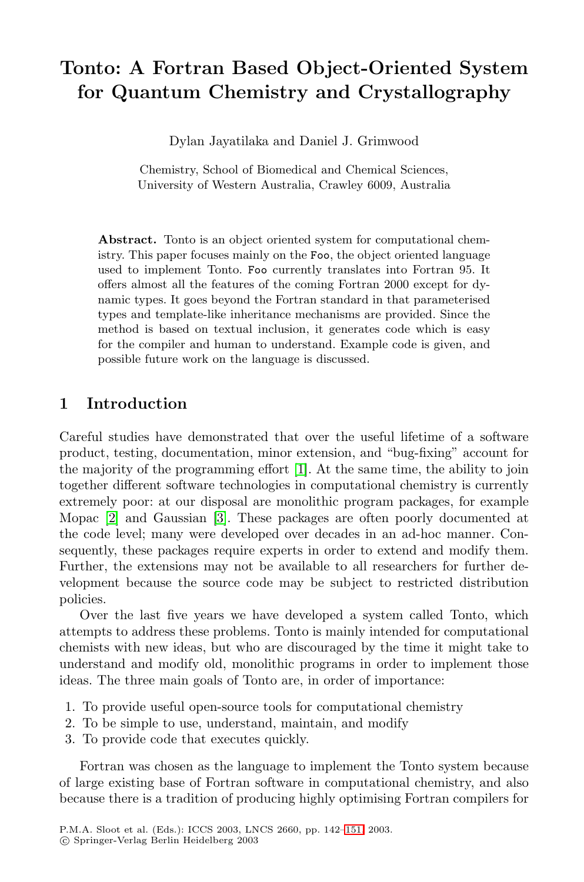# **Tonto: A Fortran Based Object-Oriented System for Quantum Chemistry and Crystallography**

Dylan Jayatilaka and Daniel J. Grimwood

Chemistry, School of Biomedical and Chemical Sciences, University of Western Australia, Crawley 6009, Australia

**Abstract.** Tonto is an object oriented system for computational chemistry. This paper focuses mainly on the Foo, the object oriented language used to implement Tonto. Foo currently translates into Fortran 95. It offers almost all the features of the coming Fortran 2000 except for dynamic types. [It](#page-8-0) goes beyond the Fortran standard in that parameterised types and template-like inheritance mechanisms are provided. Since the method is based on textual inclusion, it generates code which is easy for the compiler and human to understand. Example code is given, and [p](#page-8-0)ossible future work on the language is discussed.

#### **1 Introduction**

Careful studies have demonstrated that over the useful lifetime of a software product, testing, documentation, minor extension, and "bug-fixing" account for the majority of the programming effort [1]. At the same time, the ability to join together different software technologies in computational chemistry is currently extremely poor: at our disposal are monolithic program packages, for example Mopac [2] and Gaussian [3]. These packages are often poorly documented at the code level; many were developed over decades in an ad-hoc manner. Consequently, these packages require experts in order to extend and modify them. Further, the extensions may not be available to all researchers for further development because the source code may be subject to restricted distribution policies.

Over the last five years we have developed a system called Tonto, which attempts to address these problems. Tonto is mainly intended for computational chemists with new ideas, but who are discouraged by the time it might take to understand and modify ol[d, m](#page-8-0)onolithic programs in order to implement those ideas. The three main goals of Tonto are, in order of importance:

- 1. To provide useful open-source tools for computational chemistry
- 2. To be simple to use, understand, maintain, and modify
- 3. To provide code that executes quickly.

Fortran was chosen as the language to implement the Tonto system because of large existing base of Fortran software in computational chemistry, and also because there is a tradition of producing highly optimising Fortran compilers for

P.M.A. Sloot et al. (Eds.): ICCS 2003, LNCS 2660, pp. 142–151, 2003. c Springer-Verlag Berlin Heidelberg 2003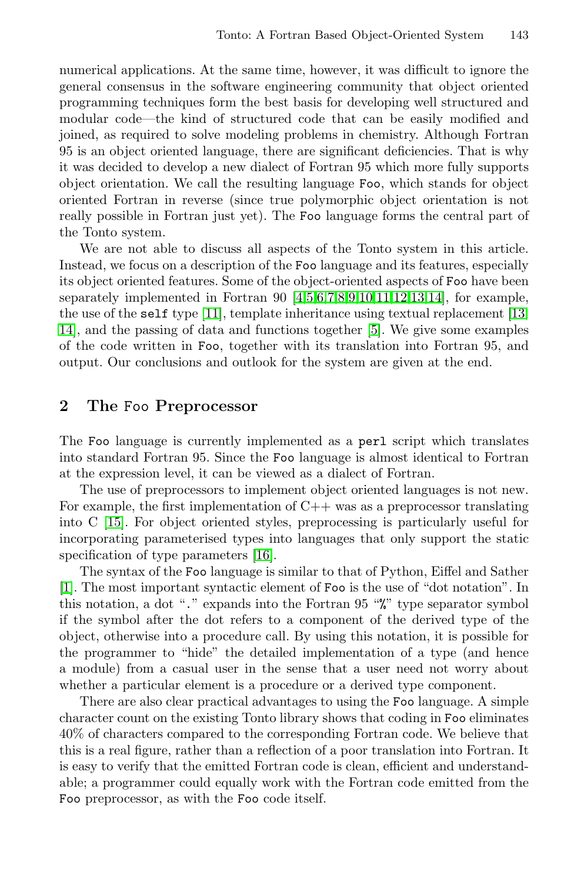numerical applications. At the same time, however, it was difficult to ignore the general consensus in the software engineering community that object oriented programming techniques form the best basis for developing well structured and modular code—the kind of structured code that can be easily modified and joined, as required to solve modeling problems in chemistry. Although Fortran 95 is an object oriented language, there are significant deficiencies. That is why it was decided to develop a new dialect of Fortran 95 which more fully supports object orientation. We call the resulting language Foo, which stands for object oriented Fortran in reverse (since true polymorphic object orientation is not really possible in Fortran just yet). The Foo language forms the central part of the Tonto system.

We are not able to discuss all aspects of the Tonto system in this article. Instead, we focus on a description of the Foo language and its features, especially its object oriented features. Some of the object-oriented aspects of Foo have been separately implemented in Fortran 90 [\[4,5,6,7](#page-8-0)[,8,9,10,11,12,13,14\]](#page-9-0), for example, the use of the self type [\[11\]](#page-9-0), template inheritance using textual replacement [\[13,](#page-9-0) [14\]](#page-9-0), and the passing of data and functions together [\[5\]](#page-8-0). We give some examples of the code written in Foo, together with its translation into Fortran 95, and output. Our conclusions and outlook for the system are given at the end.

#### **2 The** Foo **Preprocessor**

The Foo language is currently implemented as a perl script which translates into standard Fortran 95. Since the Foo language is almost identical to Fortran at the expression level, it can be viewed as a dialect of Fortran.

The use of preprocessors to implement object oriented languages is not new. For example, the first implementation of  $C++$  was as a preprocessor translating into C [\[15\]](#page-9-0). For object oriented styles, preprocessing is particularly useful for incorporating parameterised types into languages that only support the static specification of type parameters [\[16\]](#page-9-0).

The syntax of the Foo language is similar to that of Python, Eiffel and Sather [\[1\]](#page-8-0). The most important syntactic element of Foo is the use of "dot notation". In this notation, a dot "." expands into the Fortran 95 "%" type separator symbol if the symbol after the dot refers to a component of the derived type of the object, otherwise into a procedure call. By using this notation, it is possible for the programmer to "hide" the detailed implementation of a type (and hence a module) from a casual user in the sense that a user need not worry about whether a particular element is a procedure or a derived type component.

There are also clear practical advantages to using the Foo language. A simple character count on the existing Tonto library shows that coding in Foo eliminates 40% of characters compared to the corresponding Fortran code. We believe that this is a real figure, rather than a reflection of a poor translation into Fortran. It is easy to verify that the emitted Fortran code is clean, efficient and understandable; a programmer could equally work with the Fortran code emitted from the Foo preprocessor, as with the Foo code itself.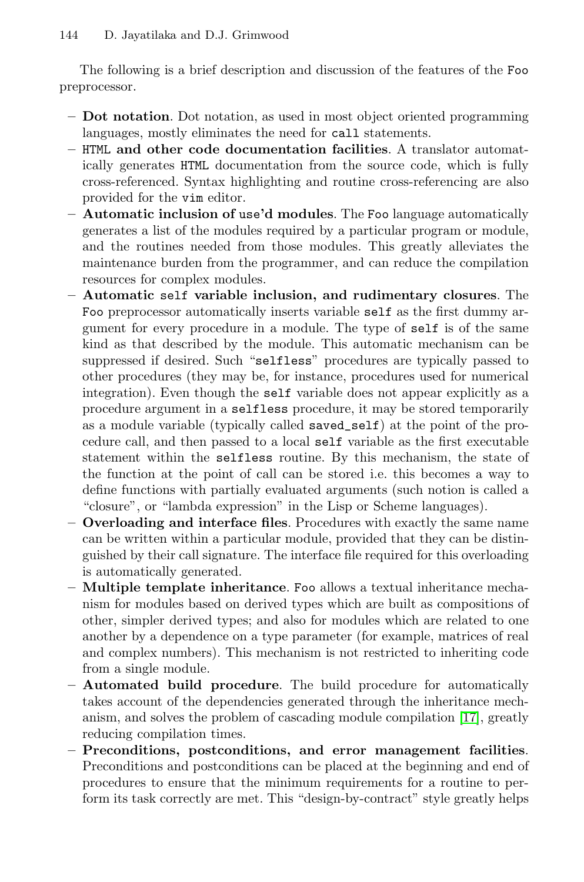The following is a brief description and discussion of the features of the Foo preprocessor.

- **Dot notation**. Dot notation, as used in most object oriented programming languages, mostly eliminates the need for call statements.
- **–** HTML **and other code documentation facilities**. A translator automatically generates HTML documentation from the source code, which is fully cross-referenced. Syntax highlighting and routine cross-referencing are also provided for the vim editor.
- **Automatic inclusion of** use**'d modules**. The Foo language automatically generates a list of the modules required by a particular program or module, and the routines needed from those modules. This greatly alleviates the maintenance burden from the programmer, and can reduce the compilation resources for complex modules.
- **Automatic** self **variable inclusion, and rudimentary closures**. The Foo preprocessor automatically inserts variable self as the first dummy argument for every procedure in a module. The type of self is of the same kind as that described by the module. This automatic mechanism can be suppressed if desired. Such "selfless" procedures are typically passed to other procedures (they may be, for instance, procedures used for numerical integration). Even though the self variable does not appear explicitly as a procedure argument in a selfless procedure, it may be stored temporarily as a module variable (typically called saved\_self) at the point of the procedure call, and then passed to a local self variable as the first executable statement within the selfless routine. By this mechanism, the state of the function at the point of call can be stored i.e. this becomes a way to define functions with partially evaluated arguments (such notion is called a "closure", or "lambda expression" in the Lisp or Scheme languages).
- **Overloading and interface files**. Procedures with exactly the same name can be written within a particular module, provided that they can be distinguished by their call signature. The interface file required for this overloading is automatically generated.
- **Multiple template inheritance**. Foo allows a textual inheritance mechanism for modules based on derived types which are built as compositions of other, simpler derived types; and also for modules which are related to one another by a dependence on a type parameter (for example, matrices of real and complex numbers). This mechanism is not restricted to inheriting code from a single module.
- **Automated build procedure**. The build procedure for automatically takes account of the dependencies generated through the inheritance mechanism, and solves the problem of cascading module compilation [\[17\]](#page-9-0), greatly reducing compilation times.
- **Preconditions, postconditions, and error management facilities**. Preconditions and postconditions can be placed at the beginning and end of procedures to ensure that the minimum requirements for a routine to perform its task correctly are met. This "design-by-contract" style greatly helps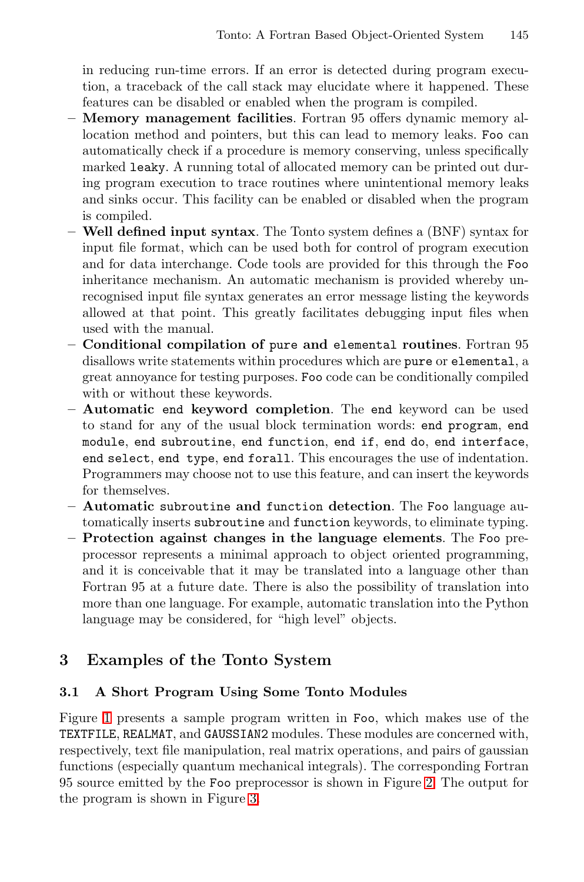in reducing run-time errors. If an error is detected during program execution, a traceback of the call stack may elucidate where it happened. These features can be disabled or enabled when the program is compiled.

- **Memory management facilities**. Fortran 95 offers dynamic memory allocation method and pointers, but this can lead to memory leaks. Foo can automatically check if a procedure is memory conserving, unless specifically marked leaky. A running total of allocated memory can be printed out during program execution to trace routines where unintentional memory leaks and sinks occur. This facility can be enabled or disabled when the program is compiled.
- **Well defined input syntax**. The Tonto system defines a (BNF) syntax for input file format, which can be used both for control of program execution and for data interchange. Code tools are provided for this through the Foo inheritance mechanism. An automatic mechanism is provided whereby unrecognised input file syntax generates an error message listing the keywords allowed at that point. This greatly facilitates debugging input files when used with the manual.
- **Conditional compilation of** pure **and** elemental **routines**. Fortran 95 disallows write statements within procedures which are pure or elemental, a great annoyance for testing purposes. Foo code can be conditionally compiled with or without these keywords.
- **Automatic** end **keyword completion**. The end keyword can be used to stand for any of the usual block termination words: end program, end module, end subroutine, end function, end if, end do, end interface, end select, end type, end forall. This encourages the use of indentation. Programmers may choose not to use this feature, and can insert the keywords for themselves.
- **Automatic** subroutine **and** function **detection**. The Foo language automatically inserts subroutine and function keywords, to eliminate typing.
- **Protection against changes in the language elements**. The Foo preprocessor represents a minimal approach to object oriented programming, and it is conceivable that it may be translated into a language other than Fortran 95 at a future date. There is also the possibility of translation into more than one language. For example, automatic translation into the Python language may be considered, for "high level" objects.

# **3 Examples of the Tonto System**

### **3.1 A Short Program Using Some Tonto Modules**

Figure [1](#page-4-0) presents a sample program written in Foo, which makes use of the TEXTFILE, REALMAT, and GAUSSIAN2 modules. These modules are concerned with, respectively, text file manipulation, real matrix operations, and pairs of gaussian functions (especially quantum mechanical integrals). The corresponding Fortran 95 source emitted by the Foo preprocessor is shown in Figure [2.](#page-5-0) The output for the program is shown in Figure [3.](#page-6-0)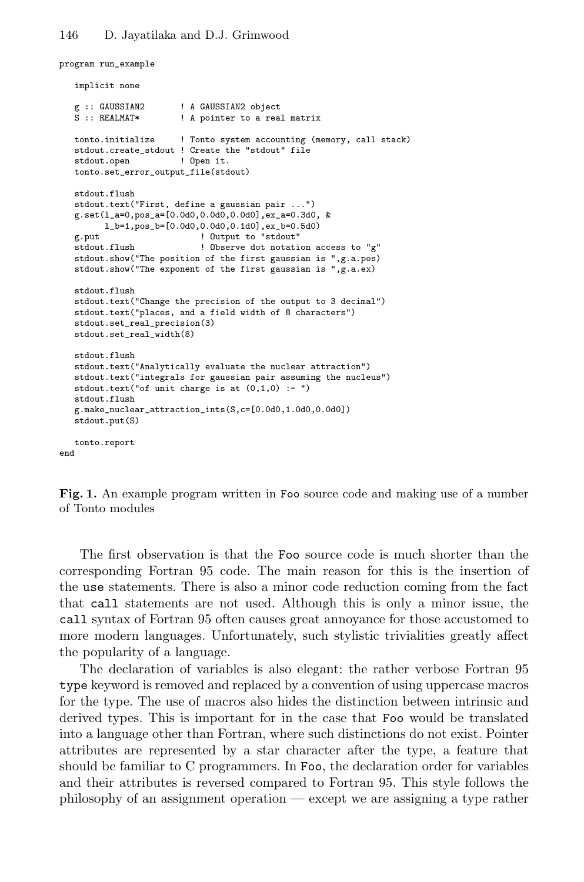```
program run_example
   implicit none
   g :: GAUSSIAN2 ! A GAUSSIAN2 object<br>S :: REALMAT* ! A pointer to a real
                         ! A pointer to a real matrix
   tonto.initialize ! Tonto system accounting (memory, call stack)
  stdout.create_stdout ! Create the "stdout" file
   stdout.open ! Open it.
  tonto.set_error_output_file(stdout)
   stdout.flush
   stdout.text("First, define a gaussian pair ...")
   g.set(l_a=0,pos_a=[0.0d0,0.0d0,0.0d0],ex_a=0.3d0, &
         l_b=1,pos_b=[0.0d0,0.0d0,0.1d0],ex_b=0.5d0)
   g.put <br>stdout.flush ! Observe dot notati
                             ! Observe dot notation access to "g"
   stdout.show("The position of the first gaussian is ",g.a.pos)
stdout.show("The exponent of the first gaussian is ",g.a.ex)
  stdout.flush
  stdout.text("Change the precision of the output to 3 decimal")
   stdout.text("places, and a field width of 8 characters")
   stdout.set_real_precision(3)
   stdout.set_real_width(8)
  stdout.flush
   stdout.text("Analytically evaluate the nuclear attraction")
  stdout.text("integrals for gaussian pair assuming the nucleus")
   stdout.text("of unit charge is at (0,1,0) :- ")
   stdout.flush
   g.make_nuclear_attraction_ints(S,c=[0.0d0,1.0d0,0.0d0])
   stdout.put(S)
   tonto.report
end
```
**Fig. 1.** An example program written in Foo source code and making use of a number of Tonto modules

The first observation is that the Foo source code is much shorter than the corresponding Fortran 95 code. The main reason for this is the insertion of the use statements. There is also a minor code reduction coming from the fact that call statements are not used. Although this is only a minor issue, the call syntax of Fortran 95 often causes great annoyance for those accustomed to more modern languages. Unfortunately, such stylistic trivialities greatly affect the popularity of a language.

The declaration of variables is also elegant: the rather verbose Fortran 95 type keyword is removed and replaced by a convention of using uppercase macros for the type. The use of macros also hides the distinction between intrinsic and derived types. This is important for in the case that Foo would be translated into a language other than Fortran, where such distinctions do not exist. Pointer attributes are represented by a star character after the type, a feature that should be familiar to C programmers. In Foo, the declaration order for variables and their attributes is reversed compared to Fortran 95. This style follows the philosophy of an assignment operation — except we are assigning a type rather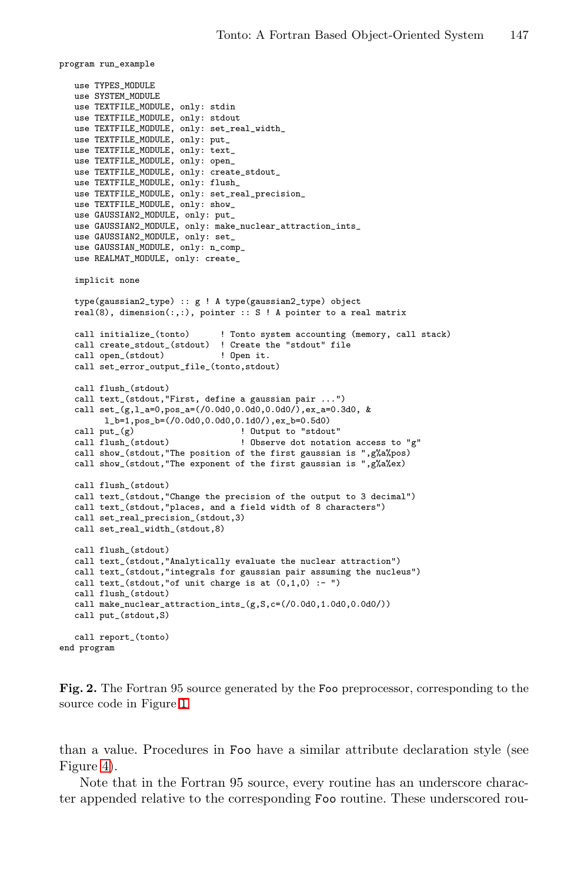```
use TYPES_MODULE
  use SYSTEM_MODULE
  use TEXTFILE_MODULE, only: stdin
  use TEXTFILE_MODULE, only: stdout
   use TEXTFILE_MODULE, only: set_real_width_
  use TEXTFILE_MODULE, only: put_
  use TEXTFILE_MODULE, only: text_
  use TEXTFILE_MODULE, only: open_
  use TEXTFILE_MODULE, only: create_stdout_
  use TEXTFILE_MODULE, only: flush_
   use TEXTFILE_MODULE, only: set_real_precision_
  use TEXTFILE_MODULE, only: show_
  use GAUSSIAN2_MODULE, only: put_
  use GAUSSIAN2_MODULE, only: make_nuclear_attraction_ints_
  use GAUSSIAN2_MODULE, only: set_
  use GAUSSIAN_MODULE, only: n_comp_
   use REALMAT_MODULE, only: create_
   implicit none
   type(gaussian2_type) ::g!A type(gaussian2_type) object
  real(8), dimension(:,:), pointer ::S!A pointer to a real matrix
  call initialize_(tonto) ! Tonto system accounting (memory, call stack)
   call create_stdout_(stdout) ! Create the "stdout" file
  call open_(stdout) ! Open it.
  call set_error_output_file_(tonto,stdout)
   call flush_(stdout)
   call text_(stdout,"First, define a gaussian pair ...")
   call set_(g,l_a=0,pos_a=(/0.0d0,0.0d0,0.0d0/),ex_a=0.3d0, &
   1_b=1, pos_b=(0.0d0,0.0d0,0.1d0/), ex_b=0.5d0)<br>call put_(g) <br> 0utput to "stdou
                                   ! Output to "stdout"
   call flush_(stdout) ! Observe dot notation access to "g"
   call show_(stdout,"The position of the first gaussian is ",g%a%pos)
   call show_(stdout,"The exponent of the first gaussian is ",g%a%ex)
  call flush_(stdout)
  call text_(stdout,"Change the precision of the output to 3 decimal")
  call text_(stdout,"places, and a field width of 8 characters")
  call set_real_precision_(stdout,3)
  call set_real_width_(stdout,8)
  call flush_(stdout)
  call text_(stdout,"Analytically evaluate the nuclear attraction")
  call text_(stdout,"integrals for gaussian pair assuming the nucleus")
  call text_(stdout,"of unit charge is at (0,1,0) :-")
   call flush_(stdout)
   call make_nuclear_attraction_ints_(g,S,c=(/0.0d0,1.0d0,0.0d0/))
   call put_(stdout,S)
  call report_(tonto)
end program
```
<span id="page-5-0"></span>program run\_example

**Fig. 2.** The Fortran 95 source generated by the Foo preprocessor, corresponding to the source code in Figure [1](#page-4-0)

than a value. Procedures in Foo have a similar attribute declaration style (see Figure [4\)](#page-7-0).

Note that in the Fortran 95 source, every routine has an underscore character appended relative to the corresponding Foo routine. These underscored rou-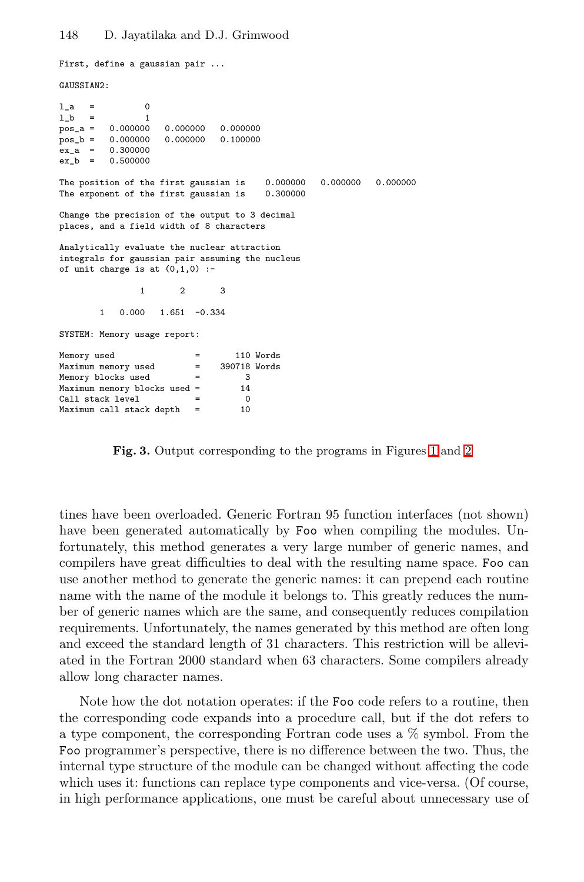```
First, define a gaussian pair ...
GAUSSIAN2:
l_a = 0<br>l_b = 1l_b =<br>pos_a =
         0.000000 0.000000 0.000000
\overline{p}os_b = 0.000000 0.000000 0.100000<br>ex_a = 0.300000
ex_{a} = 0.300000<br>ex_{b} = 0.5000000.500000
The position of the first gaussian is 0.000000 0.000000 0.000000
The exponent of the first gaussian is 0.300000
Change the precision of the output to 3 decimal
places, and a field width of 8 characters
Analytically evaluate the nuclear attraction
integrals for gaussian pair assuming the nucleus
of unit charge is at (0,1,0) :-
                123
        1 0.000 1.651 -0.334
SYSTEM: Memory usage report:
Memory used = 110 Words<br>
Maximum memory used = 390718 Words
Maximum memory used
Memory blocks used = 3<br>Maximum memory blocks used = 14
Maximum memory blocks used =Call stack level = 0
Maximum call stack depth = 10
```
**Fig. 3.** Output corresponding to the programs in Figures [1](#page-4-0) and [2](#page-5-0)

tines have been overloaded. Generic Fortran 95 function interfaces (not shown) have been generated automatically by Foo when compiling the modules. Unfortunately, this method generates a very large number of generic names, and compilers have great difficulties to deal with the resulting name space. Foo can use another method to generate the generic names: it can prepend each routine name with the name of the module it belongs to. This greatly reduces the number of generic names which are the same, and consequently reduces compilation requirements. Unfortunately, the names generated by this method are often long and exceed the standard length of 31 characters. This restriction will be alleviated in the Fortran 2000 standard when 63 characters. Some compilers already allow long character names.

Note how the dot notation operates: if the Foo code refers to a routine, then the corresponding code expands into a procedure call, but if the dot refers to a type component, the corresponding Fortran code uses a % symbol. From the Foo programmer's perspective, there is no difference between the two. Thus, the internal type structure of the module can be changed without affecting the code which uses it: functions can replace type components and vice-versa. (Of course, in high performance applications, one must be careful about unnecessary use of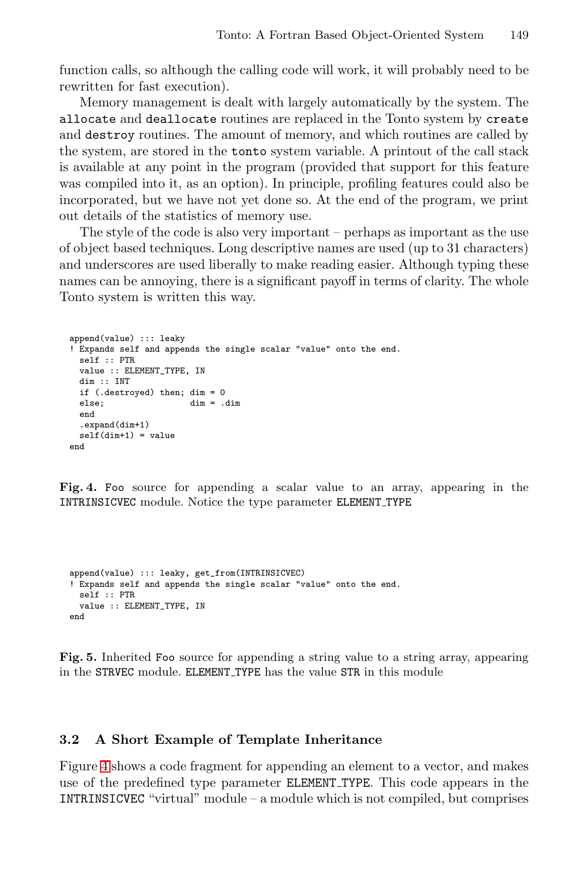<span id="page-7-0"></span>function calls, so although the calling code will work, it will probably need to be rewritten for fast execution).

Memory management is dealt with largely automatically by the system. The allocate and deallocate routines are replaced in the Tonto system by create and destroy routines. The amount of memory, and which routines are called by the system, are stored in the tonto system variable. A printout of the call stack is available at any point in the program (provided that support for this feature was compiled into it, as an option). In principle, profiling features could also be incorporated, but we have not yet done so. At the end of the program, we print out details of the statistics of memory use.

The style of the code is also very important – perhaps as important as the use of object based techniques. Long descriptive names are used (up to 31 characters) and underscores are used liberally to make reading easier. Although typing these names can be annoying, there is a significant payoff in terms of clarity. The whole Tonto system is written this way.

```
append(value) ::: leaky
! Expands self and appends the single scalar "value" onto the end.
 self :: PTR
 value :: ELEMENT_TYPE, IN
 dim :: INT
 if (.destroyed) then; dim = 0
 else; dim = .dim
 end
 .expand(dim+1)
 self(dim+1) = valueend
```
**Fig. 4.** Foo source for appending a scalar value to an array, appearing in the INTRINSICVEC module. Notice the type parameter ELEMENT TYPE

```
append(value) ::: leaky, get_from(INTRINSICVEC)
! Expands self and appends the single scalar "value" onto the end.
 self :: PTR
  value :: ELEMENT_TYPE, IN
end
```
**Fig. 5.** Inherited Foo source for appending a string value to a string array, appearing in the STRVEC module. ELEMENT TYPE has the value STR in this module

#### **3.2 A Short Example of Template Inheritance**

Figure 4 shows a code fragment for appending an element to a vector, and makes use of the predefined type parameter ELEMENT TYPE. This code appears in the INTRINSICVEC "virtual" module – a module which is not compiled, but comprises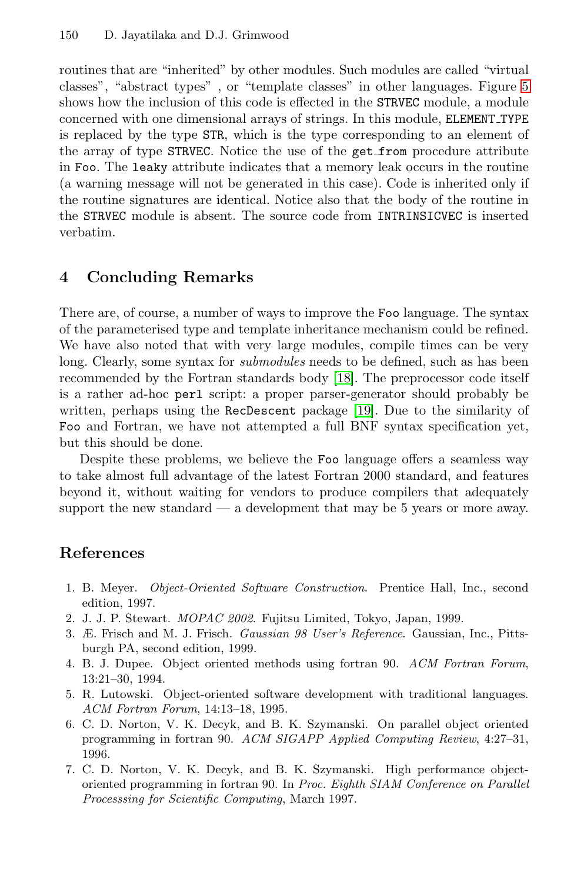<span id="page-8-0"></span>routines that are "inherited" by other modules. Such modules are called "virtual classes", "abstract types" , or "template classes" in other languages. Figure [5](#page-7-0) shows how the inclusion of this code is effected in the STRVEC module, a module concerned with one dimensional arrays of strings. In this module, ELEMENT TYPE is replaced by the type STR, which is the type corresponding to an element of the array of type STRVEC. Notice the use of the get\_from procedure attribute in Foo. The leaky attribute indicates that a memory leak occurs in the routine (a warning message will not be generated in this case). Code is inherited only if the routine signatures are identical. Notice also that the body of the routine in the STRVEC module is absent. The source code from INTRINSICVEC is inserted verbatim.

## **4 Concluding Remarks**

There are, of course, a number of ways to improve the Foo language. The syntax of the parameterised type and template inheritance mechanism could be refined. We have also noted that with very large modules, compile times can be very long. Clearly, some syntax for *submodules* needs to be defined, such as has been recommended by the Fortran standards body [\[18\]](#page-9-0). The preprocessor code itself is a rather ad-hoc perl script: a proper parser-generator should probably be written, perhaps using the RecDescent package [\[19\]](#page-9-0). Due to the similarity of Foo and Fortran, we have not attempted a full BNF syntax specification yet, but this should be done.

Despite these problems, we believe the Foo language offers a seamless way to take almost full advantage of the latest Fortran 2000 standard, and features beyond it, without waiting for vendors to produce compilers that adequately support the new standard  $-$  a development that may be 5 years or more away.

### **References**

- 1. B. Meyer. Object-Oriented Software Construction. Prentice Hall, Inc., second edition, 1997.
- 2. J. J. P. Stewart. MOPAC 2002. Fujitsu Limited, Tokyo, Japan, 1999.
- 3. Æ. Frisch and M. J. Frisch. Gaussian 98 User's Reference. Gaussian, Inc., Pittsburgh PA, second edition, 1999.
- 4. B. J. Dupee. Object oriented methods using fortran 90. ACM Fortran Forum, 13:21–30, 1994.
- 5. R. Lutowski. Object-oriented software development with traditional languages. ACM Fortran Forum, 14:13–18, 1995.
- 6. C. D. Norton, V. K. Decyk, and B. K. Szymanski. On parallel object oriented programming in fortran 90. ACM SIGAPP Applied Computing Review, 4:27–31, 1996.
- 7. C. D. Norton, V. K. Decyk, and B. K. Szymanski. High performance objectoriented programming in fortran 90. In Proc. Eighth SIAM Conference on Parallel Processsing for Scientific Computing, March 1997.